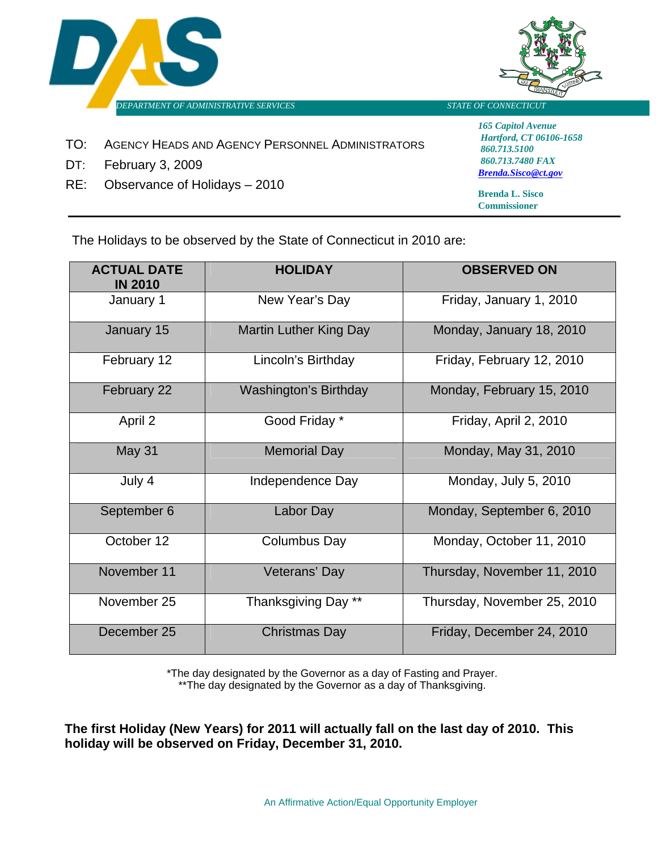



- TO: AGENCY HEADS AND AGENCY PERSONNEL ADMINISTRATORS
- DT: February 3, 2009
- RE: Observance of Holidays 2010

*165 Capitol Avenue Hartford, CT 06106-1658 860.713.5100 860.713.7480 FAX [Brenda.Sisco@ct.gov](mailto:Anne.Gnazzo@CT.GOV)*

**Brenda L. Sisco Commissioner**

The Holidays to be observed by the State of Connecticut in 2010 are:

| <b>ACTUAL DATE</b><br><b>IN 2010</b> | <b>HOLIDAY</b>                | <b>OBSERVED ON</b>          |
|--------------------------------------|-------------------------------|-----------------------------|
| January 1                            | New Year's Day                | Friday, January 1, 2010     |
| January 15                           | <b>Martin Luther King Day</b> | Monday, January 18, 2010    |
| February 12                          | Lincoln's Birthday            | Friday, February 12, 2010   |
| February 22                          | <b>Washington's Birthday</b>  | Monday, February 15, 2010   |
| April 2                              | Good Friday *                 | Friday, April 2, 2010       |
| May 31                               | <b>Memorial Day</b>           | Monday, May 31, 2010        |
| July 4                               | Independence Day              | Monday, July 5, 2010        |
| September 6                          | Labor Day                     | Monday, September 6, 2010   |
| October 12                           | <b>Columbus Day</b>           | Monday, October 11, 2010    |
| November 11                          | Veterans' Day                 | Thursday, November 11, 2010 |
| November 25                          | Thanksgiving Day **           | Thursday, November 25, 2010 |
| December 25                          | <b>Christmas Day</b>          | Friday, December 24, 2010   |

\*The day designated by the Governor as a day of Fasting and Prayer. \*\*The day designated by the Governor as a day of Thanksgiving.

**The first Holiday (New Years) for 2011 will actually fall on the last day of 2010. This holiday will be observed on Friday, December 31, 2010.**